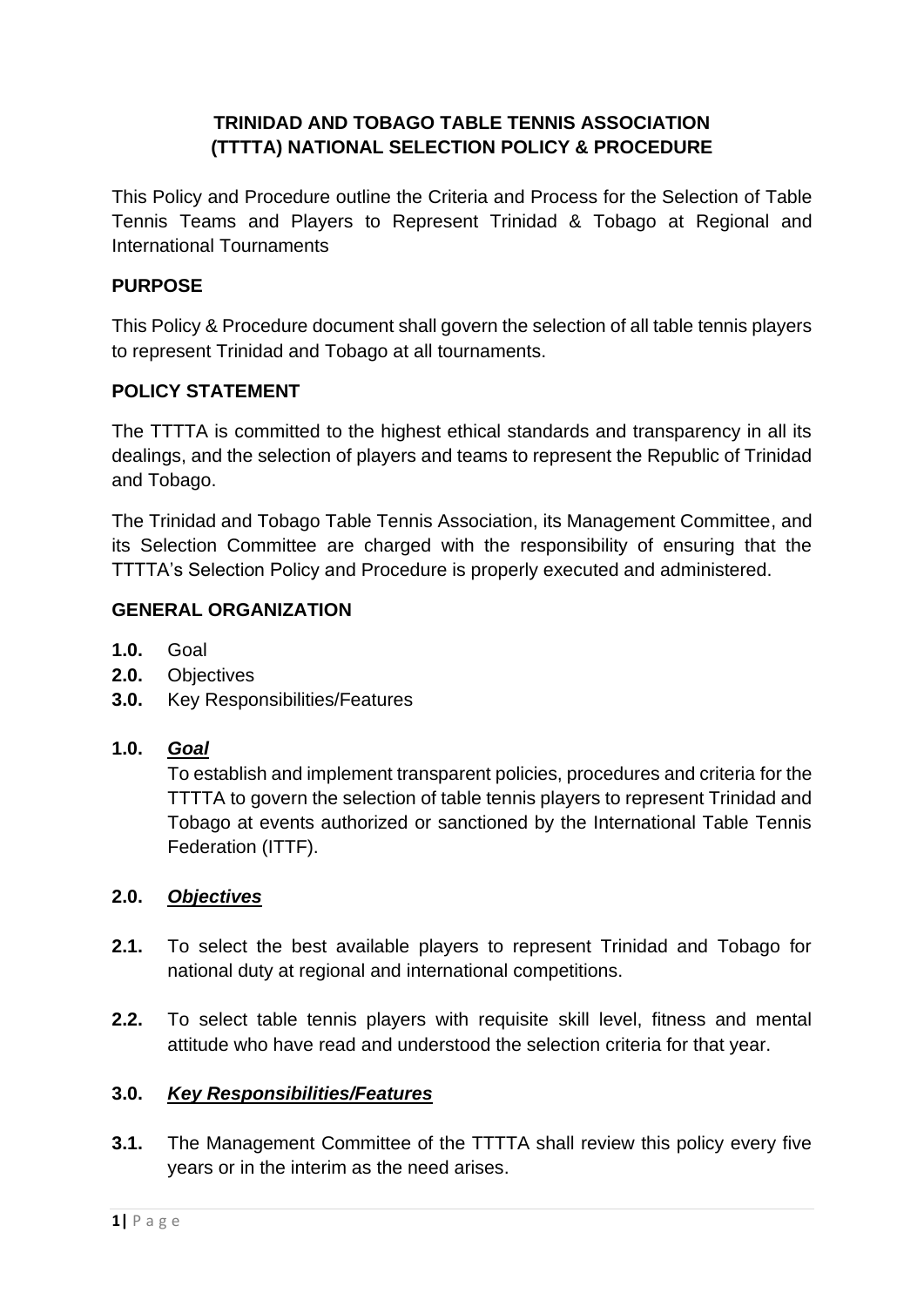# **TRINIDAD AND TOBAGO TABLE TENNIS ASSOCIATION (TTTTA) NATIONAL SELECTION POLICY & PROCEDURE**

This Policy and Procedure outline the Criteria and Process for the Selection of Table Tennis Teams and Players to Represent Trinidad & Tobago at Regional and International Tournaments

## **PURPOSE**

This Policy & Procedure document shall govern the selection of all table tennis players to represent Trinidad and Tobago at all tournaments.

# **POLICY STATEMENT**

The TTTTA is committed to the highest ethical standards and transparency in all its dealings, and the selection of players and teams to represent the Republic of Trinidad and Tobago.

The Trinidad and Tobago Table Tennis Association, its Management Committee, and its Selection Committee are charged with the responsibility of ensuring that the TTTTA's Selection Policy and Procedure is properly executed and administered.

## **GENERAL ORGANIZATION**

- **1.0.** Goal
- **2.0.** Objectives
- **3.0.** Key Responsibilities/Features

## **1.0.** *Goal*

To establish and implement transparent policies, procedures and criteria for the TTTTA to govern the selection of table tennis players to represent Trinidad and Tobago at events authorized or sanctioned by the International Table Tennis Federation (ITTF).

## **2.0.** *Objectives*

- **2.1.** To select the best available players to represent Trinidad and Tobago for national duty at regional and international competitions.
- **2.2.** To select table tennis players with requisite skill level, fitness and mental attitude who have read and understood the selection criteria for that year.

## **3.0.** *Key Responsibilities/Features*

**3.1.** The Management Committee of the TTTTA shall review this policy every five years or in the interim as the need arises.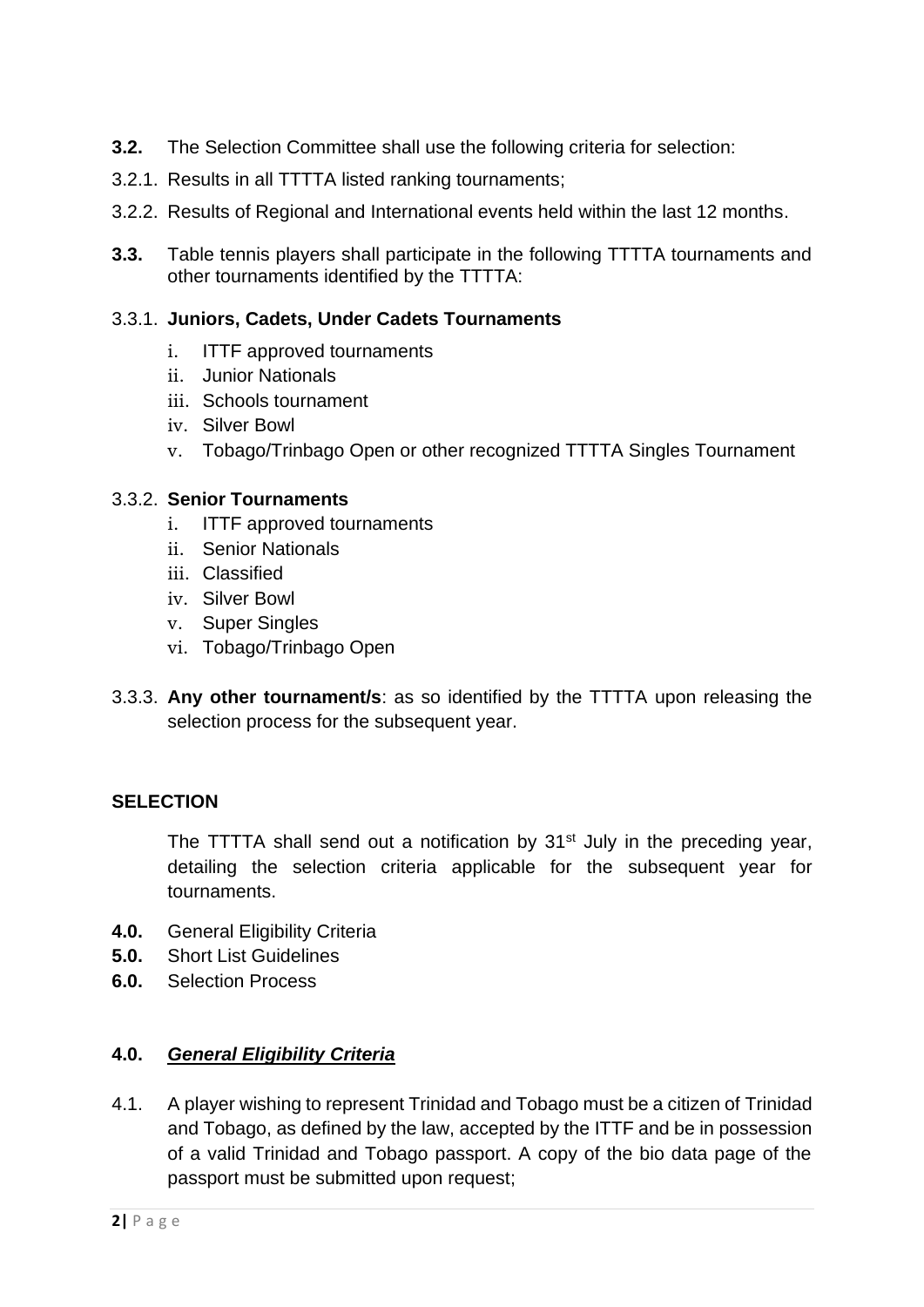- **3.2.** The Selection Committee shall use the following criteria for selection:
- 3.2.1. Results in all TTTTA listed ranking tournaments;
- 3.2.2. Results of Regional and International events held within the last 12 months.
- **3.3.** Table tennis players shall participate in the following TTTTA tournaments and other tournaments identified by the TTTTA:

### 3.3.1. **Juniors, Cadets, Under Cadets Tournaments**

- i. ITTF approved tournaments
- ii. Junior Nationals
- iii. Schools tournament
- iv. Silver Bowl
- v. Tobago/Trinbago Open or other recognized TTTTA Singles Tournament

#### 3.3.2. **Senior Tournaments**

- i. ITTF approved tournaments
- ii. Senior Nationals
- iii. Classified
- iv. Silver Bowl
- v. Super Singles
- vi. Tobago/Trinbago Open
- 3.3.3. **Any other tournament/s**: as so identified by the TTTTA upon releasing the selection process for the subsequent year.

## **SELECTION**

The TTTTA shall send out a notification by  $31<sup>st</sup>$  July in the preceding year, detailing the selection criteria applicable for the subsequent year for tournaments.

- **4.0.** General Eligibility Criteria
- **5.0.** Short List Guidelines
- **6.0.** Selection Process

## **4.0.** *General Eligibility Criteria*

4.1. A player wishing to represent Trinidad and Tobago must be a citizen of Trinidad and Tobago, as defined by the law, accepted by the ITTF and be in possession of a valid Trinidad and Tobago passport. A copy of the bio data page of the passport must be submitted upon request;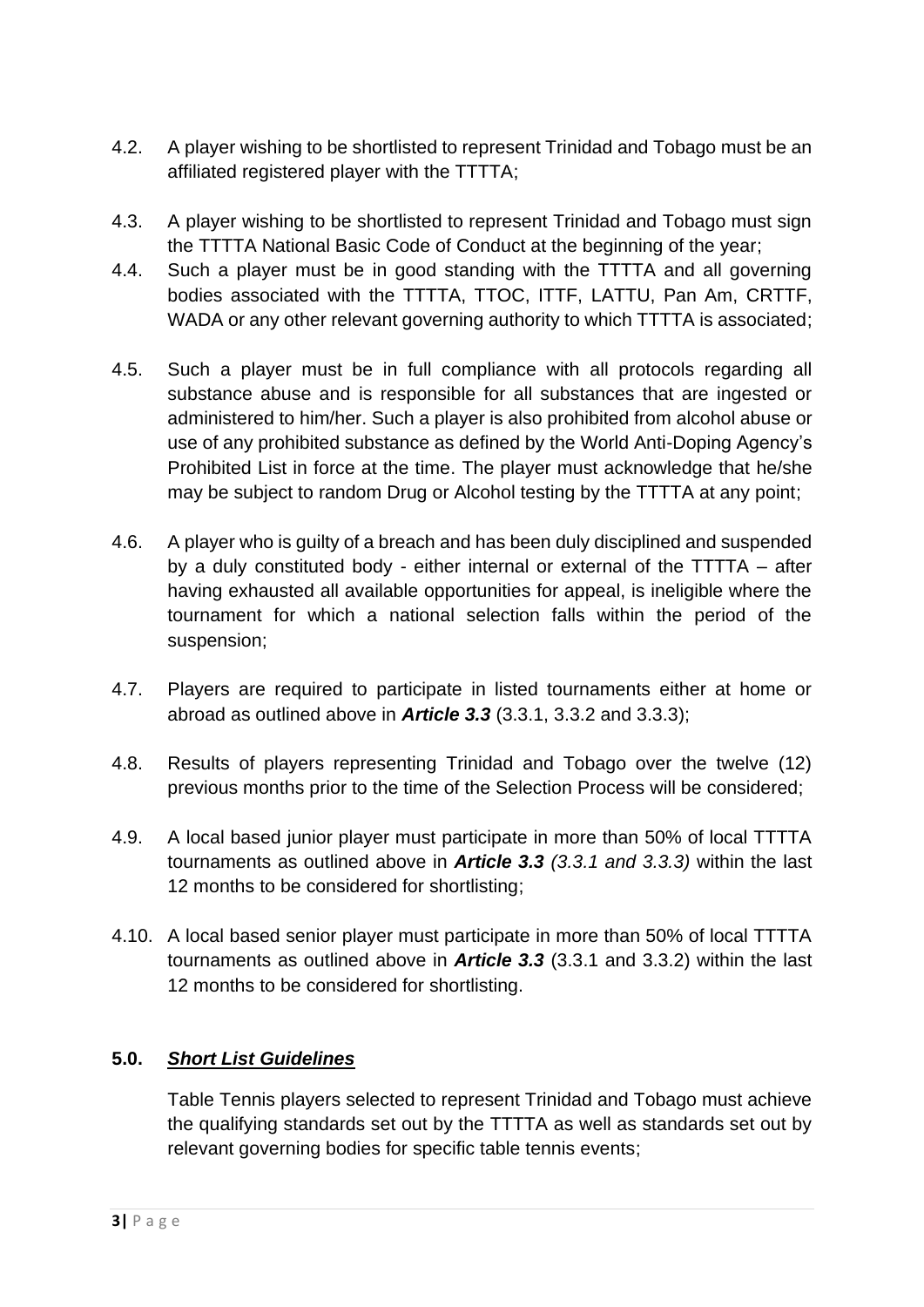- 4.2. A player wishing to be shortlisted to represent Trinidad and Tobago must be an affiliated registered player with the TTTTA;
- 4.3. A player wishing to be shortlisted to represent Trinidad and Tobago must sign the TTTTA National Basic Code of Conduct at the beginning of the year;
- 4.4. Such a player must be in good standing with the TTTTA and all governing bodies associated with the TTTTA, TTOC, ITTF, LATTU, Pan Am, CRTTF, WADA or any other relevant governing authority to which TTTTA is associated;
- 4.5. Such a player must be in full compliance with all protocols regarding all substance abuse and is responsible for all substances that are ingested or administered to him/her. Such a player is also prohibited from alcohol abuse or use of any prohibited substance as defined by the World Anti-Doping Agency's Prohibited List in force at the time. The player must acknowledge that he/she may be subject to random Drug or Alcohol testing by the TTTTA at any point;
- 4.6. A player who is guilty of a breach and has been duly disciplined and suspended by a duly constituted body - either internal or external of the TTTTA – after having exhausted all available opportunities for appeal, is ineligible where the tournament for which a national selection falls within the period of the suspension;
- 4.7. Players are required to participate in listed tournaments either at home or abroad as outlined above in *Article 3.3* (3.3.1, 3.3.2 and 3.3.3);
- 4.8. Results of players representing Trinidad and Tobago over the twelve (12) previous months prior to the time of the Selection Process will be considered;
- 4.9. A local based junior player must participate in more than 50% of local TTTTA tournaments as outlined above in *Article 3.3 (3.3.1 and 3.3.3)* within the last 12 months to be considered for shortlisting;
- 4.10. A local based senior player must participate in more than 50% of local TTTTA tournaments as outlined above in *Article 3.3* (3.3.1 and 3.3.2) within the last 12 months to be considered for shortlisting.

# **5.0.** *Short List Guidelines*

Table Tennis players selected to represent Trinidad and Tobago must achieve the qualifying standards set out by the TTTTA as well as standards set out by relevant governing bodies for specific table tennis events;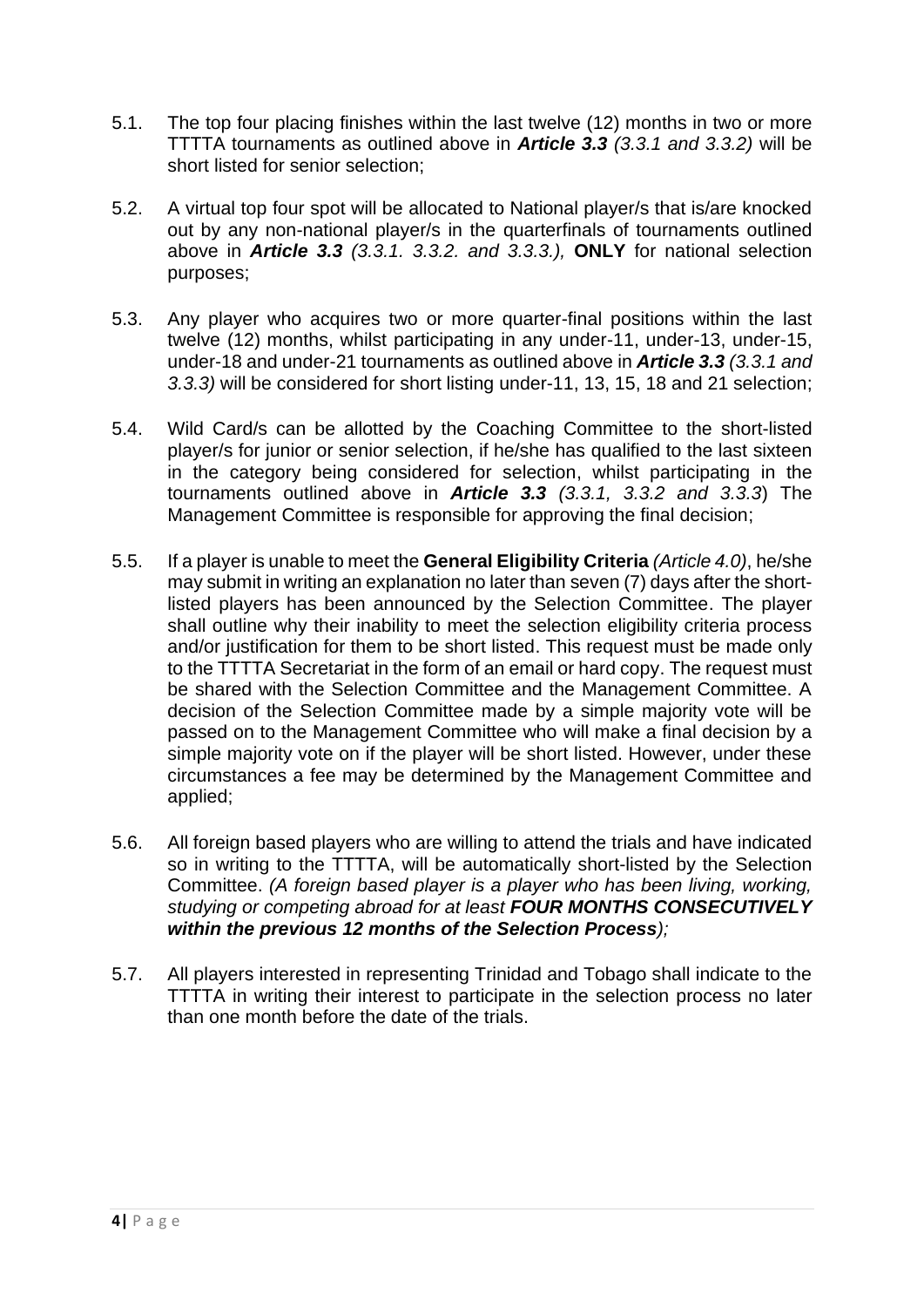- 5.1. The top four placing finishes within the last twelve (12) months in two or more TTTTA tournaments as outlined above in *Article 3.3 (3.3.1 and 3.3.2)* will be short listed for senior selection;
- 5.2. A virtual top four spot will be allocated to National player/s that is/are knocked out by any non-national player/s in the quarterfinals of tournaments outlined above in *Article 3.3 (3.3.1. 3.3.2. and 3.3.3.),* **ONLY** for national selection purposes;
- 5.3. Any player who acquires two or more quarter-final positions within the last twelve (12) months, whilst participating in any under-11, under-13, under-15, under-18 and under-21 tournaments as outlined above in *Article 3.3 (3.3.1 and 3.3.3)* will be considered for short listing under-11, 13, 15, 18 and 21 selection;
- 5.4. Wild Card/s can be allotted by the Coaching Committee to the short-listed player/s for junior or senior selection, if he/she has qualified to the last sixteen in the category being considered for selection, whilst participating in the tournaments outlined above in *Article 3.3 (3.3.1, 3.3.2 and 3.3.3*) The Management Committee is responsible for approving the final decision;
- 5.5. If a player is unable to meet the **General Eligibility Criteria** *(Article 4.0)*, he/she may submit in writing an explanation no later than seven (7) days after the shortlisted players has been announced by the Selection Committee. The player shall outline why their inability to meet the selection eligibility criteria process and/or justification for them to be short listed. This request must be made only to the TTTTA Secretariat in the form of an email or hard copy. The request must be shared with the Selection Committee and the Management Committee. A decision of the Selection Committee made by a simple majority vote will be passed on to the Management Committee who will make a final decision by a simple majority vote on if the player will be short listed. However, under these circumstances a fee may be determined by the Management Committee and applied;
- 5.6. All foreign based players who are willing to attend the trials and have indicated so in writing to the TTTTA, will be automatically short-listed by the Selection Committee. *(A foreign based player is a player who has been living, working, studying or competing abroad for at least FOUR MONTHS CONSECUTIVELY within the previous 12 months of the Selection Process);*
- 5.7. All players interested in representing Trinidad and Tobago shall indicate to the TTTTA in writing their interest to participate in the selection process no later than one month before the date of the trials.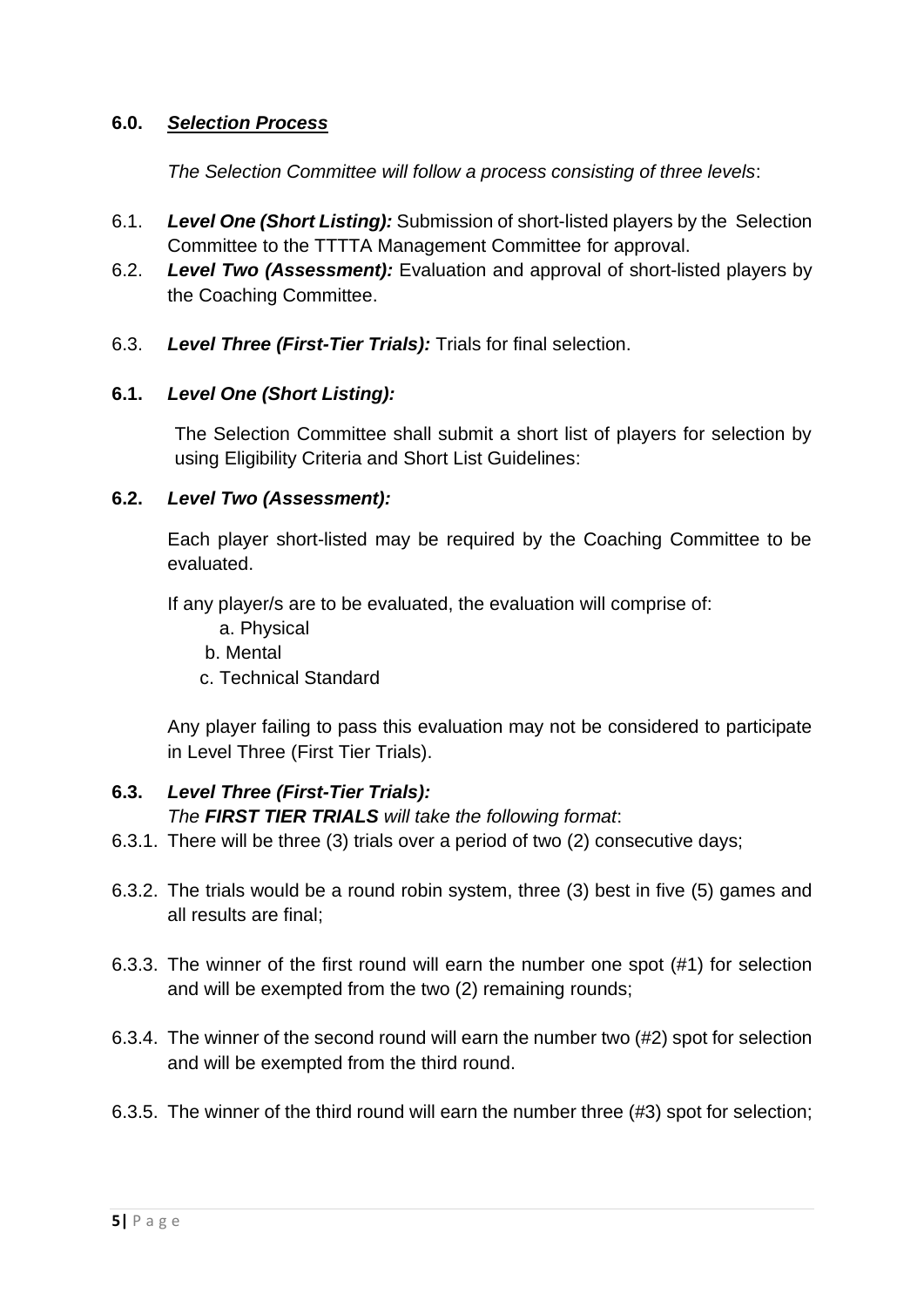### **6.0.** *Selection Process*

*The Selection Committee will follow a process consisting of three levels*:

- 6.1. *Level One (Short Listing):* Submission of short-listed players by the Selection Committee to the TTTTA Management Committee for approval.
- 6.2. *Level Two (Assessment):* Evaluation and approval of short-listed players by the Coaching Committee.
- 6.3. *Level Three (First-Tier Trials):* Trials for final selection.

### **6.1.** *Level One (Short Listing):*

The Selection Committee shall submit a short list of players for selection by using Eligibility Criteria and Short List Guidelines:

### **6.2.** *Level Two (Assessment):*

Each player short-listed may be required by the Coaching Committee to be evaluated.

If any player/s are to be evaluated, the evaluation will comprise of:

- a. Physical
- b. Mental
- c. Technical Standard

Any player failing to pass this evaluation may not be considered to participate in Level Three (First Tier Trials).

#### **6.3.** *Level Three (First-Tier Trials): The FIRST TIER TRIALS will take the following format*:

- 6.3.1. There will be three (3) trials over a period of two (2) consecutive days;
- 6.3.2. The trials would be a round robin system, three (3) best in five (5) games and all results are final;
- 6.3.3. The winner of the first round will earn the number one spot (#1) for selection and will be exempted from the two (2) remaining rounds;
- 6.3.4. The winner of the second round will earn the number two (#2) spot for selection and will be exempted from the third round.
- 6.3.5. The winner of the third round will earn the number three (#3) spot for selection;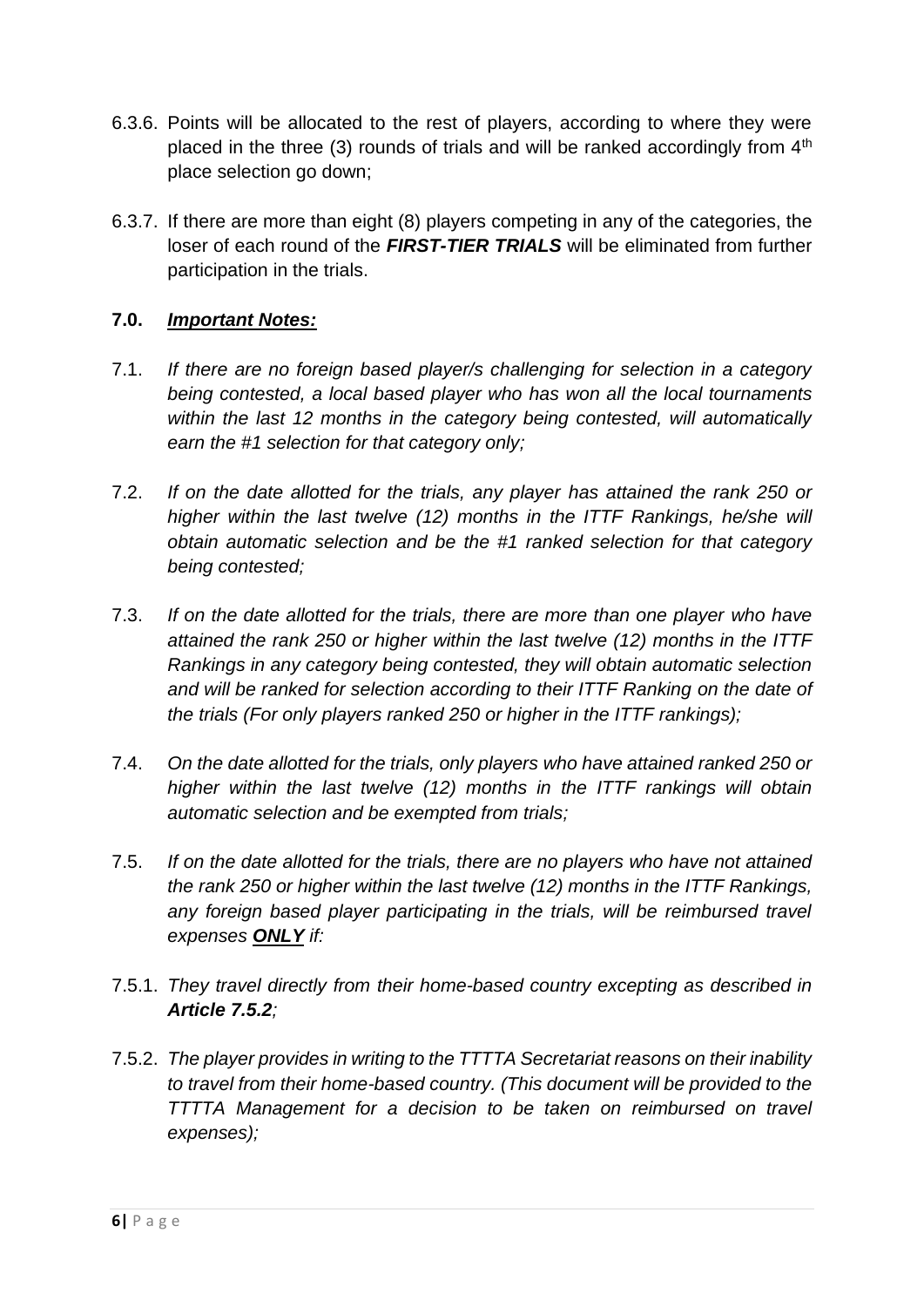- 6.3.6. Points will be allocated to the rest of players, according to where they were placed in the three (3) rounds of trials and will be ranked accordingly from 4<sup>th</sup> place selection go down;
- 6.3.7. If there are more than eight (8) players competing in any of the categories, the loser of each round of the *FIRST-TIER TRIALS* will be eliminated from further participation in the trials.

## **7.0.** *Important Notes:*

- 7.1. *If there are no foreign based player/s challenging for selection in a category being contested, a local based player who has won all the local tournaments within the last 12 months in the category being contested, will automatically earn the #1 selection for that category only;*
- 7.2. *If on the date allotted for the trials, any player has attained the rank 250 or higher within the last twelve (12) months in the ITTF Rankings, he/she will obtain automatic selection and be the #1 ranked selection for that category being contested;*
- 7.3. *If on the date allotted for the trials, there are more than one player who have attained the rank 250 or higher within the last twelve (12) months in the ITTF Rankings in any category being contested, they will obtain automatic selection and will be ranked for selection according to their ITTF Ranking on the date of the trials (For only players ranked 250 or higher in the ITTF rankings);*
- 7.4. *On the date allotted for the trials, only players who have attained ranked 250 or higher within the last twelve (12) months in the ITTF rankings will obtain automatic selection and be exempted from trials;*
- 7.5. *If on the date allotted for the trials, there are no players who have not attained the rank 250 or higher within the last twelve (12) months in the ITTF Rankings,*  any foreign based player participating in the trials, will be reimbursed travel *expenses ONLY if:*
- 7.5.1. *They travel directly from their home-based country excepting as described in Article 7.5.2;*
- 7.5.2. *The player provides in writing to the TTTTA Secretariat reasons on their inability to travel from their home-based country. (This document will be provided to the TTTTA Management for a decision to be taken on reimbursed on travel expenses);*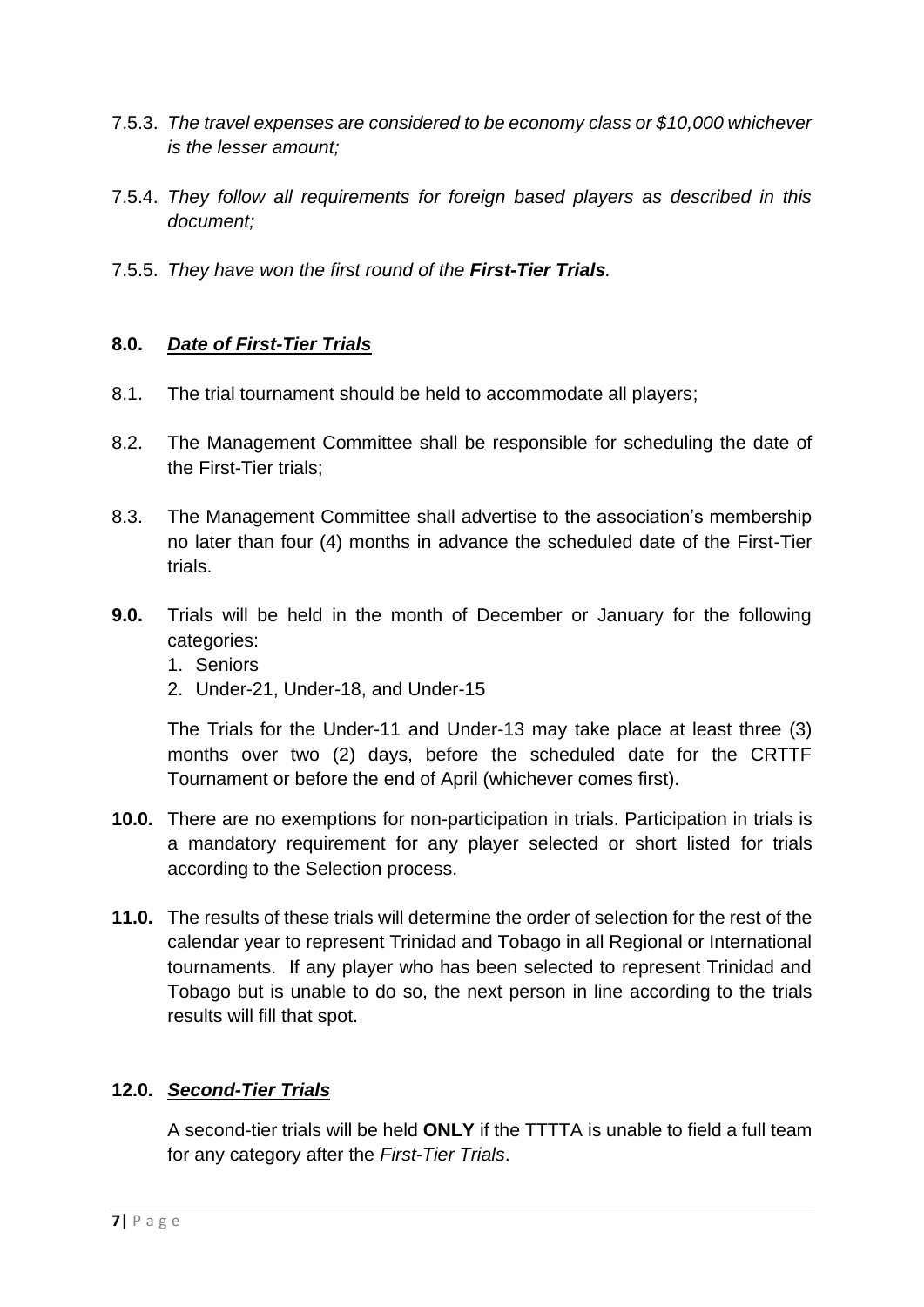- 7.5.3. *The travel expenses are considered to be economy class or \$10,000 whichever is the lesser amount;*
- 7.5.4. *They follow all requirements for foreign based players as described in this document;*
- 7.5.5. *They have won the first round of the First-Tier Trials.*

# **8.0.** *Date of First-Tier Trials*

- 8.1. The trial tournament should be held to accommodate all players;
- 8.2. The Management Committee shall be responsible for scheduling the date of the First-Tier trials;
- 8.3. The Management Committee shall advertise to the association's membership no later than four (4) months in advance the scheduled date of the First-Tier trials.
- **9.0.** Trials will be held in the month of December or January for the following categories:
	- 1. Seniors
	- 2. Under-21, Under-18, and Under-15

The Trials for the Under-11 and Under-13 may take place at least three (3) months over two (2) days, before the scheduled date for the CRTTF Tournament or before the end of April (whichever comes first).

- **10.0.** There are no exemptions for non-participation in trials. Participation in trials is a mandatory requirement for any player selected or short listed for trials according to the Selection process.
- **11.0.** The results of these trials will determine the order of selection for the rest of the calendar year to represent Trinidad and Tobago in all Regional or International tournaments. If any player who has been selected to represent Trinidad and Tobago but is unable to do so, the next person in line according to the trials results will fill that spot.

## **12.0.** *Second-Tier Trials*

A second-tier trials will be held **ONLY** if the TTTTA is unable to field a full team for any category after the *First-Tier Trials*.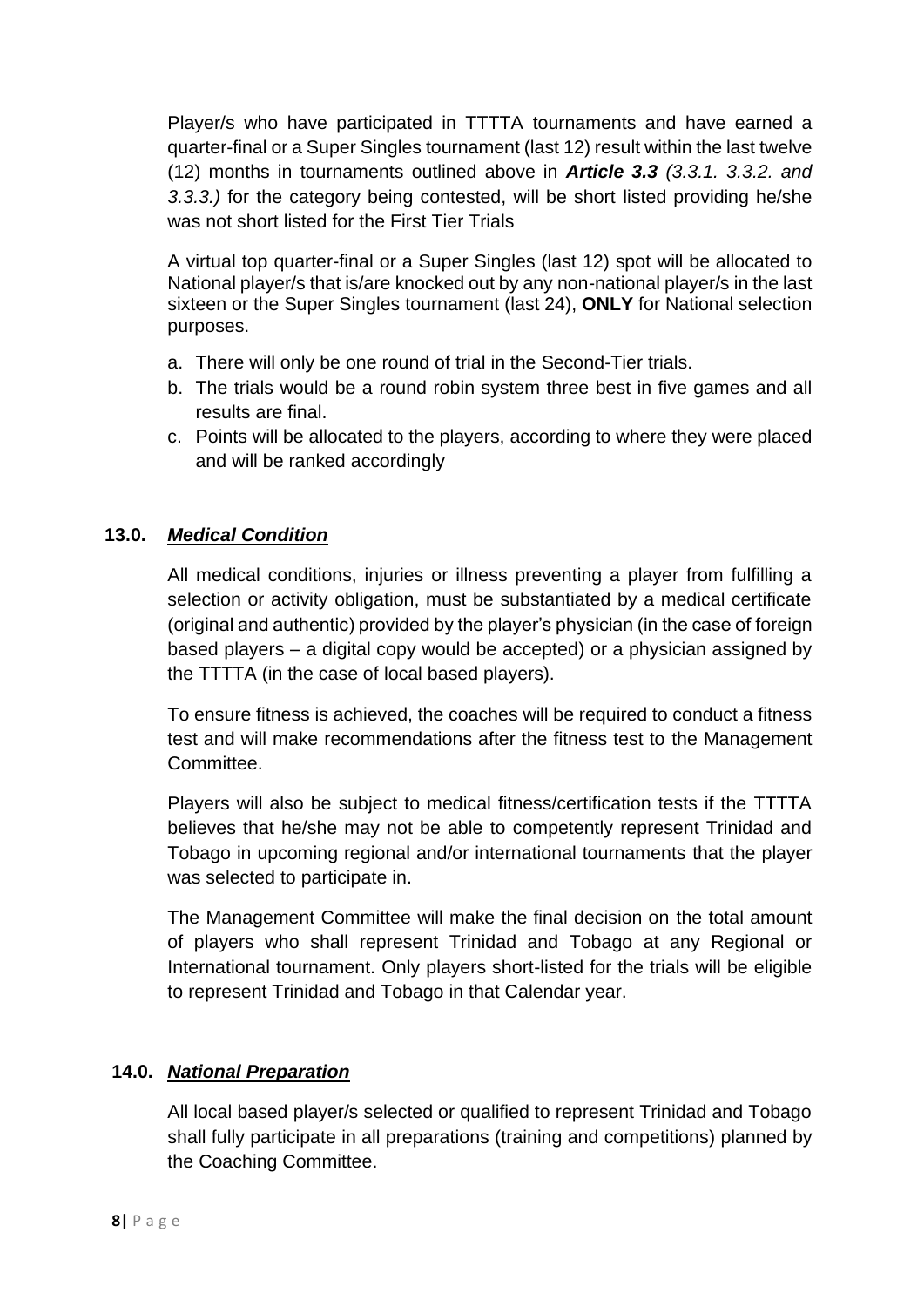Player/s who have participated in TTTTA tournaments and have earned a quarter-final or a Super Singles tournament (last 12) result within the last twelve (12) months in tournaments outlined above in *Article 3.3 (3.3.1. 3.3.2. and 3.3.3.)* for the category being contested, will be short listed providing he/she was not short listed for the First Tier Trials

A virtual top quarter-final or a Super Singles (last 12) spot will be allocated to National player/s that is/are knocked out by any non-national player/s in the last sixteen or the Super Singles tournament (last 24), **ONLY** for National selection purposes.

- a. There will only be one round of trial in the Second-Tier trials.
- b. The trials would be a round robin system three best in five games and all results are final.
- c. Points will be allocated to the players, according to where they were placed and will be ranked accordingly

# **13.0.** *Medical Condition*

All medical conditions, injuries or illness preventing a player from fulfilling a selection or activity obligation, must be substantiated by a medical certificate (original and authentic) provided by the player's physician (in the case of foreign based players – a digital copy would be accepted) or a physician assigned by the TTTTA (in the case of local based players).

To ensure fitness is achieved, the coaches will be required to conduct a fitness test and will make recommendations after the fitness test to the Management **Committee.** 

Players will also be subject to medical fitness/certification tests if the TTTTA believes that he/she may not be able to competently represent Trinidad and Tobago in upcoming regional and/or international tournaments that the player was selected to participate in.

The Management Committee will make the final decision on the total amount of players who shall represent Trinidad and Tobago at any Regional or International tournament. Only players short-listed for the trials will be eligible to represent Trinidad and Tobago in that Calendar year.

## **14.0.** *National Preparation*

All local based player/s selected or qualified to represent Trinidad and Tobago shall fully participate in all preparations (training and competitions) planned by the Coaching Committee.